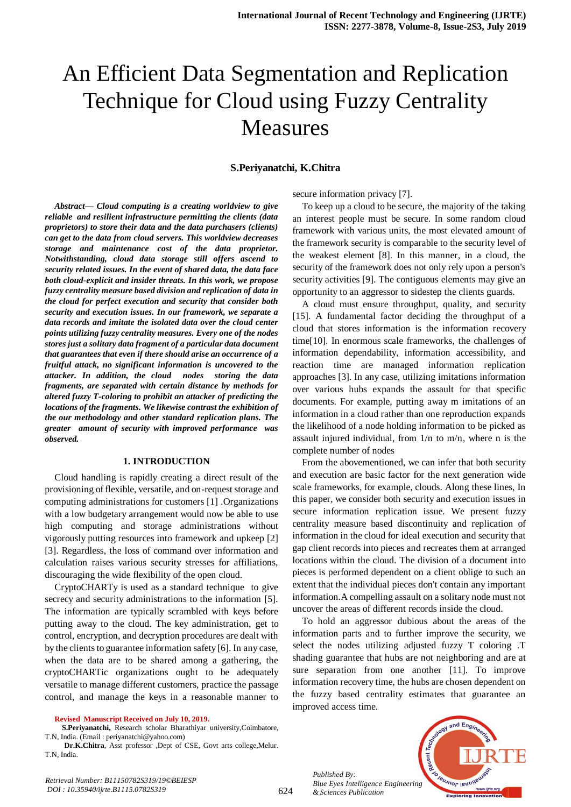# An Efficient Data Segmentation and Replication Technique for Cloud using Fuzzy Centrality Measures

## **S.Periyanatchi, K.Chitra**

*Abstract***—** *Cloud computing is a creating worldview to give reliable and resilient infrastructure permitting the clients (data proprietors) to store their data and the data purchasers (clients) can get to the data from cloud servers. This worldview decreases storage and maintenance cost of the data proprietor. Notwithstanding, cloud data storage still offers ascend to security related issues. In the event of shared data, the data face both cloud-explicit and insider threats. In this work, we propose fuzzy centrality measure based division and replication of data in the cloud for perfect execution and security that consider both security and execution issues. In our framework, we separate a data records and imitate the isolated data over the cloud center points utilizing fuzzy centrality measures. Every one of the nodes stores just a solitary data fragment of a particular data document that guarantees that even if there should arise an occurrence of a fruitful attack, no significant information is uncovered to the attacker. In addition, the cloud nodes storing the data fragments, are separated with certain distance by methods for altered fuzzy T-coloring to prohibit an attacker of predicting the locations of the fragments. We likewise contrast the exhibition of the our methodology and other standard replication plans. The greater amount of security with improved performance was observed.*

## **1. INTRODUCTION**

Cloud handling is rapidly creating a direct result of the provisioning of flexible, versatile, and on-request storage and computing administrations for customers [1] .Organizations with a low budgetary arrangement would now be able to use high computing and storage administrations without vigorously putting resources into framework and upkeep [2] [3]. Regardless, the loss of command over information and calculation raises various security stresses for affiliations, discouraging the wide flexibility of the open cloud.

CryptoCHARTy is used as a standard technique to give secrecy and security administrations to the information [5]. The information are typically scrambled with keys before putting away to the cloud. The key administration, get to control, encryption, and decryption procedures are dealt with by the clients to guarantee information safety [6]. In any case, when the data are to be shared among a gathering, the cryptoCHARTic organizations ought to be adequately versatile to manage different customers, practice the passage control, and manage the keys in a reasonable manner to

**Revised Manuscript Received on July 10, 2019.**

 **S.Periyanatchi,** Research scholar Bharathiyar university,Coimbatore, T.N, India. (Email : periyanatchi@yahoo.com)

**Dr.K.Chitra**, Asst professor ,Dept of CSE, Govt arts college,Melur. T.N, India.

secure information privacy [7].

To keep up a cloud to be secure, the majority of the taking an interest people must be secure. In some random cloud framework with various units, the most elevated amount of the framework security is comparable to the security level of the weakest element [8]. In this manner, in a cloud, the security of the framework does not only rely upon a person's security activities [9]. The contiguous elements may give an opportunity to an aggressor to sidestep the clients guards.

A cloud must ensure throughput, quality, and security [15]. A fundamental factor deciding the throughput of a cloud that stores information is the information recovery time[10]. In enormous scale frameworks, the challenges of information dependability, information accessibility, and reaction time are managed information replication approaches [3]. In any case, utilizing imitations information over various hubs expands the assault for that specific documents. For example, putting away m imitations of an information in a cloud rather than one reproduction expands the likelihood of a node holding information to be picked as assault injured individual, from 1/n to m/n, where n is the complete number of nodes

From the abovementioned, we can infer that both security and execution are basic factor for the next generation wide scale frameworks, for example, clouds. Along these lines, In this paper, we consider both security and execution issues in secure information replication issue. We present fuzzy centrality measure based discontinuity and replication of information in the cloud for ideal execution and security that gap client records into pieces and recreates them at arranged locations within the cloud. The division of a document into pieces is performed dependent on a client oblige to such an extent that the individual pieces don't contain any important information.A compelling assault on a solitary node must not uncover the areas of different records inside the cloud.

To hold an aggressor dubious about the areas of the information parts and to further improve the security, we select the nodes utilizing adjusted fuzzy T coloring .T shading guarantee that hubs are not neighboring and are at sure separation from one another [11]. To improve information recovery time, the hubs are chosen dependent on the fuzzy based centrality estimates that guarantee an improved access time.

*Published By: Blue Eyes Intelligence Engineering & Sciences Publication* 



*Retrieval Number: B11150782S319/19©BEIESP DOI : 10.35940/ijrte.B1115.0782S319*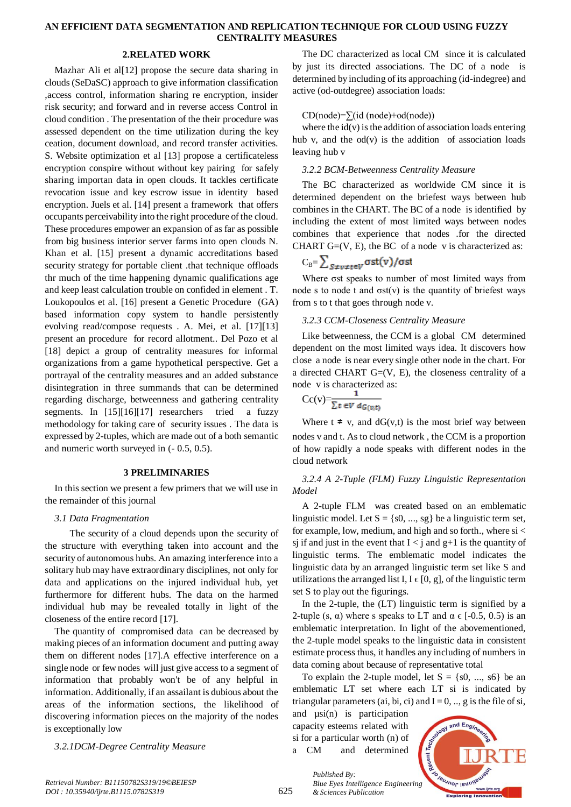# **AN EFFICIENT DATA SEGMENTATION AND REPLICATION TECHNIQUE FOR CLOUD USING FUZZY CENTRALITY MEASURES**

## **2.RELATED WORK**

Mazhar Ali et al[12] propose the secure data sharing in clouds (SeDaSC) approach to give information classification ,access control, information sharing re encryption, insider risk security; and forward and in reverse access Control in cloud condition . The presentation of the their procedure was assessed dependent on the time utilization during the key ceation, document download, and record transfer activities. S. Website optimization et al [13] propose a certificateless encryption conspire without without key pairing for safely sharing importan data in open clouds. It tackles certificate revocation issue and key escrow issue in identity based encryption. Juels et al. [14] present a framework that offers occupants perceivability into the right procedure of the cloud. These procedures empower an expansion of as far as possible from big business interior server farms into open clouds N. Khan et al. [15] present a dynamic accreditations based security strategy for portable client .that technique offloads thr much of the time happening dynamic qualifications age and keep least calculation trouble on confided in element . T. Loukopoulos et al. [16] present a Genetic Procedure (GA) based information copy system to handle persistently evolving read/compose requests . A. Mei, et al. [17][13] present an procedure for record allotment.. Del Pozo et al [18] depict a group of centrality measures for informal organizations from a game hypothetical perspective. Get a portrayal of the centrality measures and an added substance disintegration in three summands that can be determined regarding discharge, betweenness and gathering centrality segments. In [15][16][17] researchers tried a fuzzy methodology for taking care of security issues . The data is expressed by 2-tuples, which are made out of a both semantic and numeric worth surveyed in (- 0.5, 0.5).

## **3 PRELIMINARIES**

In this section we present a few primers that we will use in the remainder of this journal

#### *3.1 Data Fragmentation*

 The security of a cloud depends upon the security of the structure with everything taken into account and the security of autonomous hubs. An amazing interference into a solitary hub may have extraordinary disciplines, not only for data and applications on the injured individual hub, yet furthermore for different hubs. The data on the harmed individual hub may be revealed totally in light of the closeness of the entire record [17].

The quantity of compromised data can be decreased by making pieces of an information document and putting away them on different nodes [17].A effective interference on a single node or few nodes will just give access to a segment of information that probably won't be of any helpful in information. Additionally, if an assailant is dubious about the areas of the information sections, the likelihood of discovering information pieces on the majority of the nodes is exceptionally low

#### *3.2.1DCM-Degree Centrality Measure*

The DC characterized as local CM since it is calculated by just its directed associations. The DC of a node is determined by including of its approaching (id-indegree) and active (od-outdegree) association loads:

#### $CD(node)=\sum(id (node)+od(node))$

where the  $id(v)$  is the addition of association loads entering hub v, and the  $od(v)$  is the addition of association loads leaving hub v

## *3.2.2 BCM-Betweenness Centrality Measure*

The BC characterized as worldwide CM since it is determined dependent on the briefest ways between hub combines in the CHART. The BC of a node is identified by including the extent of most limited ways between nodes combines that experience that nodes .for the directed CHART  $G=(V, E)$ , the BC of a node v is characterized as:

$$
C_{B} = \sum_{S \neq v \neq t \in V} \sigma st(v) / \sigma st
$$

Where σst speaks to number of most limited ways from node s to node t and  $\sigma st(v)$  is the quantity of briefest ways from s to t that goes through node v.

## *3.2.3 CCM-Closeness Centrality Measure*

Like betweenness, the CCM is a global CM determined dependent on the most limited ways idea. It discovers how close a node is near every single other node in the chart. For a directed CHART  $G=(V, E)$ , the closeness centrality of a node v is characterized as:

$$
Cc(v) = \frac{1}{\sum t \in V d_{G(v,t)}}
$$

Where  $t \neq v$ , and  $dG(v,t)$  is the most brief way between nodes v and t. As to cloud network , the CCM is a proportion of how rapidly a node speaks with different nodes in the cloud network

# *3.2.4 A 2-Tuple (FLM) Fuzzy Linguistic Representation Model*

A 2-tuple FLM was created based on an emblematic linguistic model. Let  $S = \{s0, ..., sg\}$  be a linguistic term set, for example, low, medium, and high and so forth., where si < sj if and just in the event that  $I < j$  and  $g+1$  is the quantity of linguistic terms. The emblematic model indicates the linguistic data by an arranged linguistic term set like S and utilizations the arranged list I,  $I \in [0, g]$ , of the linguistic term set S to play out the figurings.

In the 2-tuple, the (LT) linguistic term is signified by a 2-tuple (s,  $\alpha$ ) where s speaks to LT and  $\alpha \in [-0.5, 0.5)$  is an emblematic interpretation. In light of the abovementioned, the 2-tuple model speaks to the linguistic data in consistent estimate process thus, it handles any including of numbers in data coming about because of representative total

To explain the 2-tuple model, let  $S = \{s0, ..., s6\}$  be an emblematic LT set where each LT si is indicated by triangular parameters (ai, bi, ci) and  $I = 0, \dots, g$  is the file of si,

and  $\mu$ si(n) is participation capacity esteems related with si for a particular worth (n) of a CM and determined

*& Sciences Publication* 

*Published By:*



625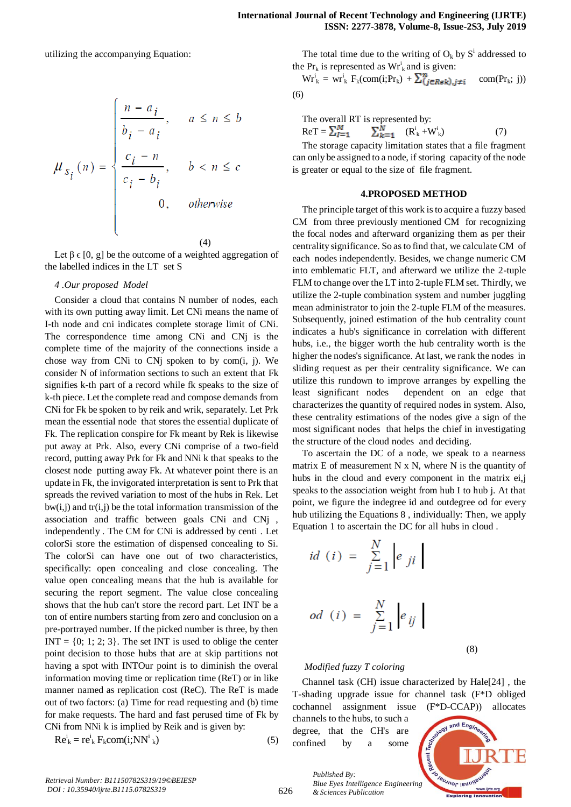utilizing the accompanying Equation:

$$
\mu_{s_i}(n) = \begin{cases}\n\frac{n - a_i}{b_i - a_i}, & a \le n \le b \\
\frac{c_i - n}{c_i - b_i}, & b < n \le c \\
0, & \text{otherwise}\n\end{cases}
$$
\n(4)

Let  $\beta \in [0, g]$  be the outcome of a weighted aggregation of the labelled indices in the LT set S

#### *4 .Our proposed Model*

Consider a cloud that contains N number of nodes, each with its own putting away limit. Let CNi means the name of I-th node and cni indicates complete storage limit of CNi. The correspondence time among CNi and CNj is the complete time of the majority of the connections inside a chose way from CNi to CNj spoken to by  $com(i, j)$ . We consider N of information sections to such an extent that Fk signifies k-th part of a record while fk speaks to the size of k-th piece. Let the complete read and compose demands from CNi for Fk be spoken to by reik and wrik, separately. Let Prk mean the essential node that stores the essential duplicate of Fk. The replication conspire for Fk meant by Rek is likewise put away at Prk. Also, every CNi comprise of a two-field record, putting away Prk for Fk and NNi k that speaks to the closest node putting away Fk. At whatever point there is an update in Fk, the invigorated interpretation is sent to Prk that spreads the revived variation to most of the hubs in Rek. Let  $bw(i,j)$  and  $tr(i,j)$  be the total information transmission of the association and traffic between goals CNi and CNj , independently . The CM for CNi is addressed by centi . Let colorSi store the estimation of dispensed concealing to Si. The colorSi can have one out of two characteristics, specifically: open concealing and close concealing. The value open concealing means that the hub is available for securing the report segment. The value close concealing shows that the hub can't store the record part. Let INT be a ton of entire numbers starting from zero and conclusion on a pre-portrayed number. If the picked number is three, by then  $INT = \{0, 1, 2, 3\}$ . The set INT is used to oblige the center point decision to those hubs that are at skip partitions not having a spot with INTOur point is to diminish the overal information moving time or replication time (ReT) or in like manner named as replication cost (ReC). The ReT is made out of two factors: (a) Time for read requesting and (b) time for make requests. The hard and fast perused time of Fk by CNi from NNi k is implied by Reik and is given by:

$$
Reki = reki Fk com(i;NNi k)
$$
 (5)

The total time due to the writing of  $O_k$  by  $S^i$  addressed to the  $Pr_k$  is represented as  $Wr_k^i$  and is given:

 $\text{Wr}_{k}^{i} = \text{wr}_{k}^{i} \text{F}_{k}(\text{com}(i;Pr_{k}) + \sum_{i=1}^{n} \text{E}_{\text{Rek}})_{i \neq i} \quad \text{com}(Pr_{k}; j)$ (6)

The overall RT is represented by:

$$
\text{Re}\mathbf{T} = \sum_{l=1}^{M} \qquad \sum_{k=1}^{N} \qquad (\mathbf{R}_{k}^{\mathbf{i}} + \mathbf{W}_{k}^{\mathbf{i}}) \tag{7}
$$

The storage capacity limitation states that a file fragment can only be assigned to a node, if storing capacity of the node is greater or equal to the size of file fragment.

#### **4.PROPOSED METHOD**

The principle target of this work is to acquire a fuzzy based CM from three previously mentioned CM for recognizing the focal nodes and afterward organizing them as per their centrality significance. So as to find that, we calculate CM of each nodes independently. Besides, we change numeric CM into emblematic FLT, and afterward we utilize the 2-tuple FLM to change over the LT into 2-tuple FLM set. Thirdly, we utilize the 2-tuple combination system and number juggling mean administrator to join the 2-tuple FLM of the measures. Subsequently, joined estimation of the hub centrality count indicates a hub's significance in correlation with different hubs, i.e., the bigger worth the hub centrality worth is the higher the nodes's significance. At last, we rank the nodes in sliding request as per their centrality significance. We can utilize this rundown to improve arranges by expelling the least significant nodes dependent on an edge that characterizes the quantity of required nodes in system. Also, these centrality estimations of the nodes give a sign of the most significant nodes that helps the chief in investigating the structure of the cloud nodes and deciding.

To ascertain the DC of a node, we speak to a nearness matrix E of measurement N x N, where N is the quantity of hubs in the cloud and every component in the matrix ei,j speaks to the association weight from hub I to hub j. At that point, we figure the indegree id and outdegree od for every hub utilizing the Equations 8 , individually: Then, we apply Equation 1 to ascertain the DC for all hubs in cloud .

$$
id(i) = \sum_{j=1}^{N} \left| e_{ji} \right|
$$

$$
od (i) = \sum_{j=1}^{N} \left| e_{ij} \right|
$$

(8)

## *Modified fuzzy T coloring*

Channel task (CH) issue characterized by Hale[24] , the T-shading upgrade issue for channel task (F\*D obliged cochannel assignment issue (F\*D-CCAP)) allocates

channels to the hubs, to such a degree, that the CH's are confined by a some



626

*Published By: Blue Eyes Intelligence Engineering & Sciences Publication*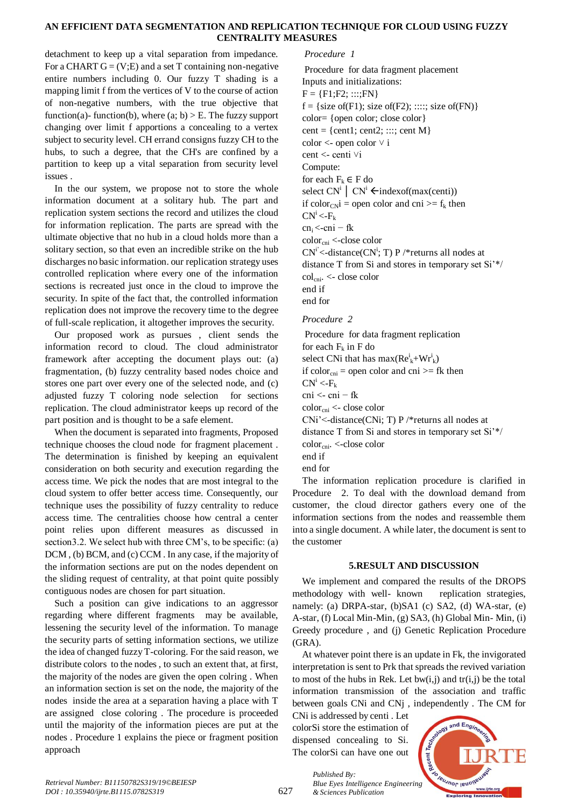# **AN EFFICIENT DATA SEGMENTATION AND REPLICATION TECHNIQUE FOR CLOUD USING FUZZY CENTRALITY MEASURES**

detachment to keep up a vital separation from impedance. For a CHART  $G = (V;E)$  and a set T containing non-negative entire numbers including 0. Our fuzzy T shading is a mapping limit f from the vertices of V to the course of action of non-negative numbers, with the true objective that function(a)- function(b), where (a; b)  $>$  E. The fuzzy support changing over limit f apportions a concealing to a vertex subject to security level. CH errand consigns fuzzy CH to the hubs, to such a degree, that the CH's are confined by a partition to keep up a vital separation from security level issues .

In the our system, we propose not to store the whole information document at a solitary hub. The part and replication system sections the record and utilizes the cloud for information replication. The parts are spread with the ultimate objective that no hub in a cloud holds more than a solitary section, so that even an incredible strike on the hub discharges no basic information. our replication strategy uses controlled replication where every one of the information sections is recreated just once in the cloud to improve the security. In spite of the fact that, the controlled information replication does not improve the recovery time to the degree of full-scale replication, it altogether improves the security.

Our proposed work as pursues , client sends the information record to cloud. The cloud administrator framework after accepting the document plays out: (a) fragmentation, (b) fuzzy centrality based nodes choice and stores one part over every one of the selected node, and (c) adjusted fuzzy T coloring node selection for sections replication. The cloud administrator keeps up record of the part position and is thought to be a safe element.

When the document is separated into fragments, Proposed technique chooses the cloud node for fragment placement . The determination is finished by keeping an equivalent consideration on both security and execution regarding the access time. We pick the nodes that are most integral to the cloud system to offer better access time. Consequently, our technique uses the possibility of fuzzy centrality to reduce access time. The centralities choose how central a center point relies upon different measures as discussed in section3.2. We select hub with three CM's, to be specific: (a) DCM , (b) BCM, and (c) CCM . In any case, if the majority of the information sections are put on the nodes dependent on the sliding request of centrality, at that point quite possibly contiguous nodes are chosen for part situation.

Such a position can give indications to an aggressor regarding where different fragments may be available, lessening the security level of the information. To manage the security parts of setting information sections, we utilize the idea of changed fuzzy T-coloring. For the said reason, we distribute colors to the nodes , to such an extent that, at first, the majority of the nodes are given the open colring . When an information section is set on the node, the majority of the nodes inside the area at a separation having a place with T are assigned close coloring . The procedure is proceeded until the majority of the information pieces are put at the nodes . Procedure 1 explains the piece or fragment position approach

## *Procedure 1*

Procedure for data fragment placement Inputs and initializations:  $F = {F1;F2; ...;FN}$  $f = \{size of(F1); size of(F2); \dots; size of(FN)\}\$ color= {open color; close color} cent = {cent1; cent2; :::; cent M}  $color <$ - open color  $\vee$  i cent <- centi  $\forall i$ Compute: for each  $F_k \in F$  do select  $CN^i \mid CN^i \leftarrow \text{indexof}(\text{max}(\text{cent}))$ if color<sub>CN</sub>i = open color and cni >=  $f_k$  then  $CN^i$  <-F<sub>k</sub>  $cn_i < \nceni - fk$ color<sub>cni</sub> <-close color  $CN^i$  <-distance( $CN^i$ ; T) P /\* returns all nodes at distance T from Si and stores in temporary set Si'\*/ colcni. <- close color end if end for *Procedure 2* Procedure for data fragment replication for each  $F_k$  in F do select CNi that has  $max(Re_k^i+Wr_k^i)$ if color<sub>cni</sub> = open color and cni  $>=$  fk then  $CN^i < F_k$ 

cni <- cni − fk

 $color_{\text{cm}} <$  close color

CNi'<-distance(CNi; T) P /\*returns all nodes at

distance T from Si and stores in temporary set Si'\*/

color<sub>cni</sub>. <-close color

end if

end for

The information replication procedure is clarified in Procedure 2. To deal with the download demand from customer, the cloud director gathers every one of the information sections from the nodes and reassemble them into a single document. A while later, the document is sent to the customer

# **5.RESULT AND DISCUSSION**

We implement and compared the results of the DROPS methodology with well- known replication strategies, namely: (a) DRPA-star, (b)SA1 (c) SA2, (d) WA-star, (e) A-star, (f) Local Min-Min, (g) SA3, (h) Global Min- Min, (i) Greedy procedure , and (j) Genetic Replication Procedure (GRA).

At whatever point there is an update in Fk, the invigorated interpretation is sent to Prk that spreads the revived variation to most of the hubs in Rek. Let bw $(i, j)$  and  $tr(i, j)$  be the total information transmission of the association and traffic between goals CNi and CNj , independently . The CM for

CNi is addressed by centi . Let colorSi store the estimation of dispensed concealing to Si. The colorSi can have one out

*& Sciences Publication* 

*Published By:*